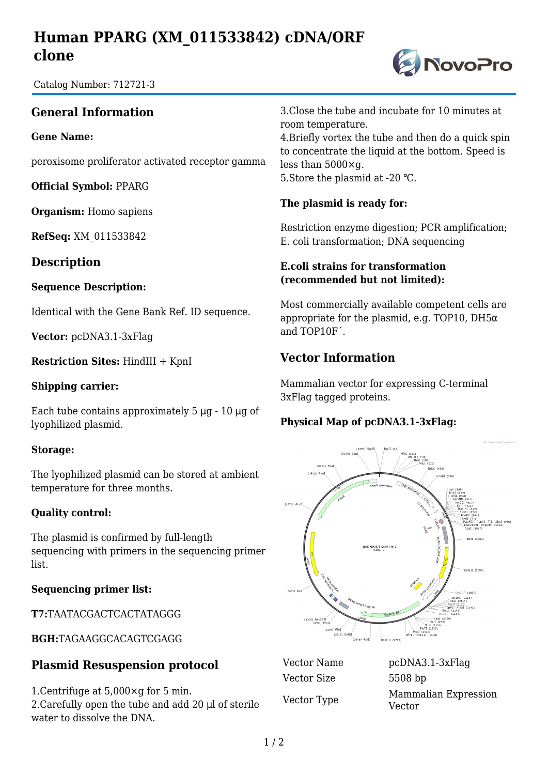# **Human PPARG (XM\_011533842) cDNA/ORF clone**

**DivoPro** 

Catalog Number: 712721-3

## **General Information**

#### **Gene Name:**

peroxisome proliferator activated receptor gamma

**Official Symbol:** PPARG

**Organism:** Homo sapiens

**RefSeq:** XM\_011533842

**Description**

#### **Sequence Description:**

Identical with the Gene Bank Ref. ID sequence.

**Vector:** pcDNA3.1-3xFlag

**Restriction Sites:** HindIII + KpnI

#### **Shipping carrier:**

Each tube contains approximately 5 μg - 10 μg of lyophilized plasmid.

#### **Storage:**

The lyophilized plasmid can be stored at ambient temperature for three months.

#### **Quality control:**

The plasmid is confirmed by full-length sequencing with primers in the sequencing primer list.

#### **Sequencing primer list:**

**T7:**TAATACGACTCACTATAGGG

**BGH:**TAGAAGGCACAGTCGAGG

## **Plasmid Resuspension protocol**

1.Centrifuge at 5,000×g for 5 min. 2.Carefully open the tube and add 20 μl of sterile water to dissolve the DNA.

3.Close the tube and incubate for 10 minutes at room temperature.

4.Briefly vortex the tube and then do a quick spin to concentrate the liquid at the bottom. Speed is less than 5000×g. 5.Store the plasmid at -20 ℃.

### **The plasmid is ready for:**

Restriction enzyme digestion; PCR amplification; E. coli transformation; DNA sequencing

#### **E.coli strains for transformation (recommended but not limited):**

Most commercially available competent cells are appropriate for the plasmid, e.g. TOP10, DH5 $\alpha$ and TOP10F´.

## **Vector Information**

Mammalian vector for expressing C-terminal 3xFlag tagged proteins.

### **Physical Map of pcDNA3.1-3xFlag:**



Vector Size 5508 bp

Vector Name pcDNA3.1-3xFlag Vector Type Mammalian Expression Vector